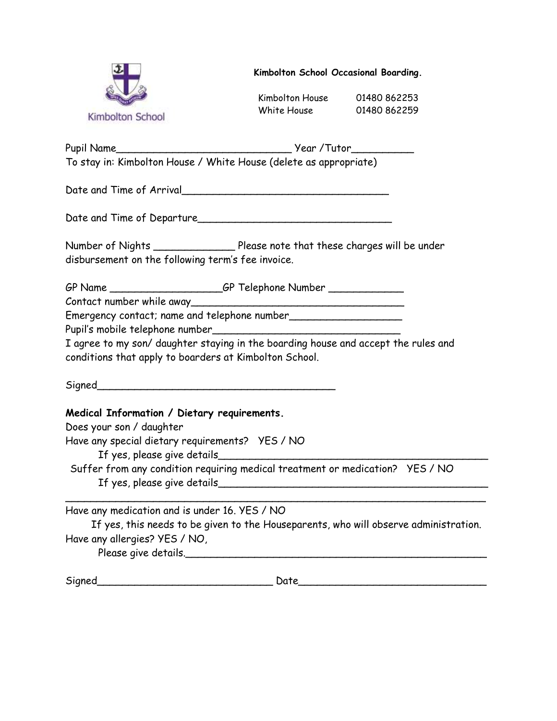

**Kimbolton School Occasional Boarding.**

Kimbolton House 01480 862253 White House 01480 862259

Pupil Name\_\_\_\_\_\_\_\_\_\_\_\_\_\_\_\_\_\_\_\_\_\_\_\_\_\_\_\_ Year /Tutor\_\_\_\_\_\_\_\_\_\_ To stay in: Kimbolton House / White House (delete as appropriate)

Date and Time of Arrival\_

Date and Time of Departure\_\_\_\_\_\_\_\_\_\_\_\_\_\_\_\_\_\_\_\_\_\_\_\_\_\_\_\_\_\_\_

| Number of Nights                                  | Please note that these charges will be under |
|---------------------------------------------------|----------------------------------------------|
| disbursement on the following term's fee invoice. |                                              |

GP Name \_\_\_\_\_\_\_\_\_\_\_\_\_\_\_\_\_\_\_\_GP Telephone Number \_\_\_\_\_\_\_\_\_\_\_\_\_\_\_\_\_\_\_\_\_\_\_\_\_\_\_\_\_\_\_\_

Contact number while away\_\_\_\_\_\_\_\_\_\_\_\_\_\_\_\_\_\_\_\_\_\_\_\_\_\_\_\_\_\_\_\_\_\_

Emergency contact; name and telephone number\_\_\_\_\_\_\_\_\_\_\_\_\_\_\_\_\_\_

Pupil's mobile telephone number\_\_\_\_\_\_\_\_\_\_\_\_\_\_\_\_\_\_\_\_\_\_\_\_\_\_\_\_\_\_

I agree to my son/ daughter staying in the boarding house and accept the rules and conditions that apply to boarders at Kimbolton School.

 $Signed$ 

**Medical Information / Dietary requirements.**

Does your son / daughter Have any special dietary requirements? YES / NO If yes, please give details Suffer from any condition requiring medical treatment or medication? YES / NO If yes, please give details\_\_\_\_\_\_\_\_\_\_\_\_\_\_\_\_\_\_\_\_\_\_\_\_\_\_\_\_\_\_\_\_\_\_\_\_\_\_\_\_\_\_\_  $\overline{\phantom{a}}$ 

Have any medication and is under 16. YES / NO If yes, this needs to be given to the Houseparents, who will observe administration. Have any allergies? YES / NO, Please give details.\_\_\_\_\_\_\_\_\_\_\_\_\_\_\_\_\_\_\_\_\_\_\_\_\_\_\_\_\_\_\_\_\_\_\_\_\_\_\_\_\_\_\_\_\_\_\_\_

Signed Date Date